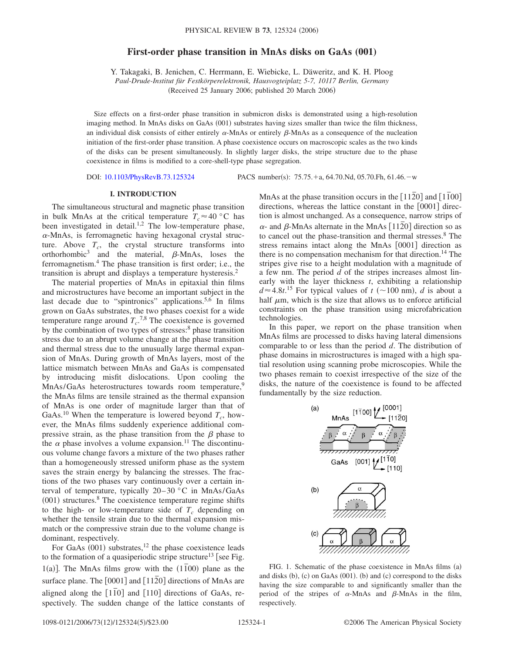## **First-order phase transition in MnAs disks on GaAs (001)**

Y. Takagaki, B. Jenichen, C. Herrmann, E. Wiebicke, L. Däweritz, and K. H. Ploog

*Paul-Drude-Institut für Festkörperelektronik, Hausvogteiplatz 5-7, 10117 Berlin, Germany*

(Received 25 January 2006; published 20 March 2006)

Size effects on a first-order phase transition in submicron disks is demonstrated using a high-resolution imaging method. In MnAs disks on GaAs (001) substrates having sizes smaller than twice the film thickness, an individual disk consists of either entirely  $\alpha$ -MnAs or entirely  $\beta$ -MnAs as a consequence of the nucleation initiation of the first-order phase transition. A phase coexistence occurs on macroscopic scales as the two kinds of the disks can be present simultaneously. In slightly larger disks, the stripe structure due to the phase coexistence in films is modified to a core-shell-type phase segregation.

DOI: [10.1103/PhysRevB.73.125324](http://dx.doi.org/10.1103/PhysRevB.73.125324)

PACS number(s):  $75.75.+a, 64.70.Nd, 05.70.Fh, 61.46.-w$ 

#### **I. INTRODUCTION**

The simultaneous structural and magnetic phase transition in bulk MnAs at the critical temperature  $T_c \approx 40$  °C has been investigated in detail.<sup>1,2</sup> The low-temperature phase,  $\alpha$ -MnAs, is ferromagnetic having hexagonal crystal structure. Above  $T_c$ , the crystal structure transforms into orthorhombic<sup>3</sup> and the material,  $\beta$ -MnAs, loses the ferromagnetism.4 The phase transition is first order; i.e., the transition is abrupt and displays a temperature hysteresis.2

The material properties of MnAs in epitaxial thin films and microstructures have become an important subject in the last decade due to "spintronics" applications.<sup>5,6</sup> In films grown on GaAs substrates, the two phases coexist for a wide temperature range around  $T_c$ <sup>7,8</sup> The coexistence is governed by the combination of two types of stresses:<sup>8</sup> phase transition stress due to an abrupt volume change at the phase transition and thermal stress due to the unusually large thermal expansion of MnAs. During growth of MnAs layers, most of the lattice mismatch between MnAs and GaAs is compensated by introducing misfit dislocations. Upon cooling the MnAs/GaAs heterostructures towards room temperature,<sup>9</sup> the MnAs films are tensile strained as the thermal expansion of MnAs is one order of magnitude larger than that of GaAs.<sup>10</sup> When the temperature is lowered beyond  $T_c$ , however, the MnAs films suddenly experience additional compressive strain, as the phase transition from the  $\beta$  phase to the  $\alpha$  phase involves a volume expansion.<sup>11</sup> The discontinuous volume change favors a mixture of the two phases rather than a homogeneously stressed uniform phase as the system saves the strain energy by balancing the stresses. The fractions of the two phases vary continuously over a certain interval of temperature, typically 20–30 °C in MnAs/GaAs  $(001)$  structures.<sup>8</sup> The coexistence temperature regime shifts to the high- or low-temperature side of  $T_c$  depending on whether the tensile strain due to the thermal expansion mismatch or the compressive strain due to the volume change is dominant, respectively.

For GaAs  $(001)$  substrates,<sup>12</sup> the phase coexistence leads to the formation of a quasiperiodic stripe structure<sup>13</sup> [see Fig.  $1(a)$ ]. The MnAs films grow with the  $(1\overline{1}00)$  plane as the surface plane. The [0001] and [1120] directions of MnAs are aligned along the  $\lceil 1\overline{1}0 \rceil$  and  $\lceil 110 \rceil$  directions of GaAs, respectively. The sudden change of the lattice constants of

MnAs at the phase transition occurs in the  $\lceil 11\bar{2}0 \rceil$  and  $\lceil 1\bar{1}00 \rceil$ directions, whereas the lattice constant in the  $[0001]$  direction is almost unchanged. As a consequence, narrow strips of  $\alpha$ - and  $\beta$ -MnAs alternate in the MnAs  $[11\overline{2}0]$  direction so as to cancel out the phase-transition and thermal stresses.<sup>8</sup> The stress remains intact along the MnAs [0001] direction as there is no compensation mechanism for that direction.<sup>14</sup> The stripes give rise to a height modulation with a magnitude of a few nm. The period *d* of the stripes increases almost linearly with the layer thickness *t*, exhibiting a relationship  $d \approx 4.8t$ <sup>15</sup> For typical values of  $t$  (~100 nm), *d* is about a half  $\mu$ m, which is the size that allows us to enforce artificial constraints on the phase transition using microfabrication technologies.

In this paper, we report on the phase transition when MnAs films are processed to disks having lateral dimensions comparable to or less than the period *d*. The distribution of phase domains in microstructures is imaged with a high spatial resolution using scanning probe microscopies. While the two phases remain to coexist irrespective of the size of the disks, the nature of the coexistence is found to be affected fundamentally by the size reduction.



FIG. 1. Schematic of the phase coexistence in MnAs films (a) and disks (b), (c) on GaAs (001). (b) and (c) correspond to the disks having the size comparable to and significantly smaller than the period of the stripes of  $\alpha$ -MnAs and  $\beta$ -MnAs in the film, respectively.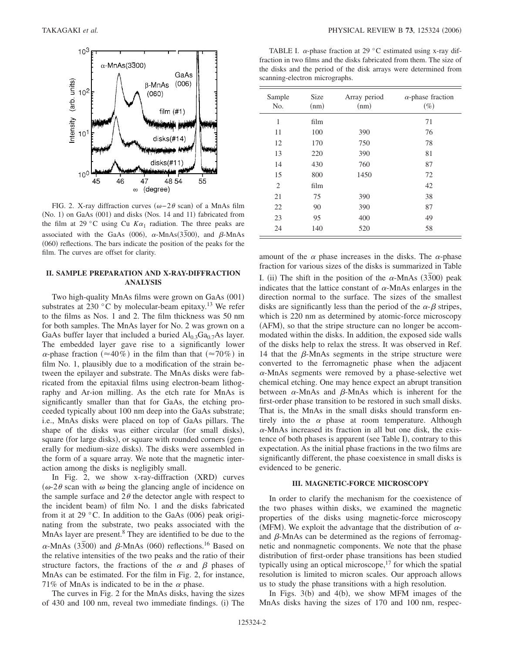

FIG. 2. X-ray diffraction curves  $(\omega - 2\theta \text{ scan})$  of a MnAs film (No. 1) on GaAs (001) and disks (Nos. 14 and 11) fabricated from the film at 29 °C using Cu  $K\alpha_1$  radiation. The three peaks are associated with the GaAs (006),  $\alpha$ -MnAs(3 $\overline{3}$ 00), and  $\beta$ -MnAs (060) reflections. The bars indicate the position of the peaks for the film. The curves are offset for clarity.

# **II. SAMPLE PREPARATION AND X-RAY-DIFFRACTION ANALYSIS**

Two high-quality MnAs films were grown on GaAs (001) substrates at 230  $\degree$ C by molecular-beam epitaxy.<sup>13</sup> We refer to the films as Nos. 1 and 2. The film thickness was 50 nm for both samples. The MnAs layer for No. 2 was grown on a GaAs buffer layer that included a buried  $Al_{0,3}Ga_{0,7}As$  layer. The embedded layer gave rise to a significantly lower  $\alpha$ -phase fraction ( $\approx$ 40%) in the film than that ( $\approx$ 70%) in film No. 1, plausibly due to a modification of the strain between the epilayer and substrate. The MnAs disks were fabricated from the epitaxial films using electron-beam lithography and Ar-ion milling. As the etch rate for MnAs is significantly smaller than that for GaAs, the etching proceeded typically about 100 nm deep into the GaAs substrate; i.e., MnAs disks were placed on top of GaAs pillars. The shape of the disks was either circular (for small disks), square (for large disks), or square with rounded corners (generally for medium-size disks). The disks were assembled in the form of a square array. We note that the magnetic interaction among the disks is negligibly small.

In Fig. 2, we show x-ray-diffraction (XRD) curves  $(\omega$ -2 $\theta$  scan with  $\omega$  being the glancing angle of incidence on the sample surface and  $2\theta$  the detector angle with respect to the incident beam) of film No. 1 and the disks fabricated from it at 29 °C. In addition to the GaAs  $(006)$  peak originating from the substrate, two peaks associated with the MnAs layer are present.<sup>8</sup> They are identified to be due to the  $\alpha$ -MnAs (33 $\overline{3}$ 00) and  $\beta$ -MnAs (060) reflections.<sup>16</sup> Based on the relative intensities of the two peaks and the ratio of their structure factors, the fractions of the  $\alpha$  and  $\beta$  phases of MnAs can be estimated. For the film in Fig. 2, for instance, 71% of MnAs is indicated to be in the  $\alpha$  phase.

The curves in Fig. 2 for the MnAs disks, having the sizes of 430 and 100 nm, reveal two immediate findings. (i) The

TABLE I.  $\alpha$ -phase fraction at 29 °C estimated using x-ray diffraction in two films and the disks fabricated from them. The size of the disks and the period of the disk arrays were determined from scanning-electron micrographs.

| Sample<br>N <sub>o</sub> . | <b>Size</b><br>(nm) | Array period<br>(nm) | $\alpha$ -phase fraction<br>$(\%)$ |
|----------------------------|---------------------|----------------------|------------------------------------|
| 1                          | film                |                      | 71                                 |
| 11                         | 100                 | 390                  | 76                                 |
| 12                         | 170                 | 750                  | 78                                 |
| 13                         | 220                 | 390                  | 81                                 |
| 14                         | 430                 | 760                  | 87                                 |
| 15                         | 800                 | 1450                 | 72                                 |
| $\overline{2}$             | film                |                      | 42                                 |
| 21                         | 75                  | 390                  | 38                                 |
| 22                         | 90                  | 390                  | 87                                 |
| 23                         | 95                  | 400                  | 49                                 |
| 24                         | 140                 | 520                  | 58                                 |

amount of the  $\alpha$  phase increases in the disks. The  $\alpha$ -phase fraction for various sizes of the disks is summarized in Table I. (ii) The shift in the position of the  $\alpha$ -MnAs  $(3\overline{3}00)$  peak indicates that the lattice constant of  $\alpha$ -MnAs enlarges in the

direction normal to the surface. The sizes of the smallest disks are significantly less than the period of the  $\alpha$ - $\beta$  stripes, which is 220 nm as determined by atomic-force microscopy (AFM), so that the stripe structure can no longer be accommodated within the disks. In addition, the exposed side walls of the disks help to relax the stress. It was observed in Ref. 14 that the  $\beta$ -MnAs segments in the stripe structure were converted to the ferromagnetic phase when the adjacent  $\alpha$ -MnAs segments were removed by a phase-selective wet chemical etching. One may hence expect an abrupt transition between  $\alpha$ -MnAs and  $\beta$ -MnAs which is inherent for the first-order phase transition to be restored in such small disks. That is, the MnAs in the small disks should transform entirely into the  $\alpha$  phase at room temperature. Although  $\alpha$ -MnAs increased its fraction in all but one disk, the existence of both phases is apparent (see Table I), contrary to this expectation. As the initial phase fractions in the two films are significantly different, the phase coexistence in small disks is evidenced to be generic.

### **III. MAGNETIC-FORCE MICROSCOPY**

In order to clarify the mechanism for the coexistence of the two phases within disks, we examined the magnetic properties of the disks using magnetic-force microscopy (MFM). We exploit the advantage that the distribution of  $\alpha$ and  $\beta$ -MnAs can be determined as the regions of ferromagnetic and nonmagnetic components. We note that the phase distribution of first-order phase transitions has been studied typically using an optical microscope, $17$  for which the spatial resolution is limited to micron scales. Our approach allows us to study the phase transitions with a high resolution.

In Figs.  $3(b)$  and  $4(b)$ , we show MFM images of the MnAs disks having the sizes of 170 and 100 nm, respec-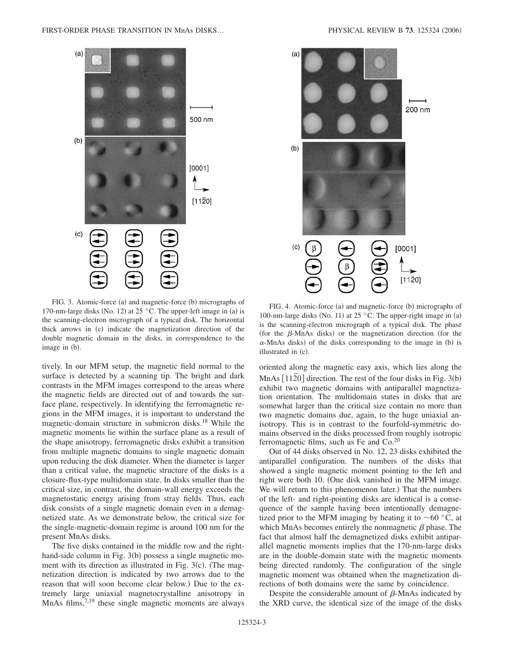

FIG. 3. Atomic-force (a) and magnetic-force (b) micrographs of 170-nm-large disks (No. 12) at 25 °C. The upper-left image in (a) is the scanning-electron micrograph of a typical disk. The horizontal thick arrows in (c) indicate the magnetization direction of the double magnetic domain in the disks, in correspondence to the image in (b).

tively. In our MFM setup, the magnetic field normal to the surface is detected by a scanning tip. The bright and dark contrasts in the MFM images correspond to the areas where the magnetic fields are directed out of and towards the surface plane, respectively. In identifying the ferromagnetic regions in the MFM images, it is important to understand the magnetic-domain structure in submicron disks.18 While the magnetic moments lie within the surface plane as a result of the shape anisotropy, ferromagnetic disks exhibit a transition from multiple magnetic domains to single magnetic domain upon reducing the disk diameter. When the diameter is larger than a critical value, the magnetic structure of the disks is a closure-flux-type multidomain state. In disks smaller than the critical size, in contrast, the domain-wall energy exceeds the magnetostatic energy arising from stray fields. Thus, each disk consists of a single magnetic domain even in a demagnetized state. As we demonstrate below, the critical size for the single-magnetic-domain regime is around 100 nm for the present MnAs disks.

The five disks contained in the middle row and the righthand-side column in Fig. 3(b) possess a single magnetic moment with its direction as illustrated in Fig. 3(c). (The magnetization direction is indicated by two arrows due to the reason that will soon become clear below.) Due to the extremely large uniaxial magnetocrystalline anisotropy in MnAs films, $7,19$  these single magnetic moments are always



FIG. 4. Atomic-force (a) and magnetic-force (b) micrographs of 100-nm-large disks (No. 11) at 25 °C. The upper-right image in (a) is the scanning-electron micrograph of a typical disk. The phase (for the  $\beta$ -MnAs disks) or the magnetization direction (for the  $\alpha$ -MnAs disks) of the disks corresponding to the image in (b) is illustrated in (c).

oriented along the magnetic easy axis, which lies along the MnAs [1120] direction. The rest of the four disks in Fig. 3(b) exhibit two magnetic domains with antiparallel magnetization orientation. The multidomain states in disks that are somewhat larger than the critical size contain no more than two magnetic domains due, again, to the huge uniaxial anisotropy. This is in contrast to the fourfold-symmetric domains observed in the disks processed from roughly isotropic ferromagnetic films, such as Fe and  $Co^{20}$ 

Out of 44 disks observed in No. 12, 23 disks exhibited the antiparallel configuration. The numbers of the disks that showed a single magnetic moment pointing to the left and right were both 10. One disk vanished in the MFM image. We will return to this phenomenon later.) That the numbers of the left- and right-pointing disks are identical is a consequence of the sample having been intentionally demagnetized prior to the MFM imaging by heating it to  $\sim 60$  °C, at which MnAs becomes entirely the nonmagnetic  $\beta$  phase. The fact that almost half the demagnetized disks exhibit antiparallel magnetic moments implies that the 170-nm-large disks are in the double-domain state with the magnetic moments being directed randomly. The configuration of the single magnetic moment was obtained when the magnetization directions of both domains were the same by coincidence.

Despite the considerable amount of  $\beta$ -MnAs indicated by the XRD curve, the identical size of the image of the disks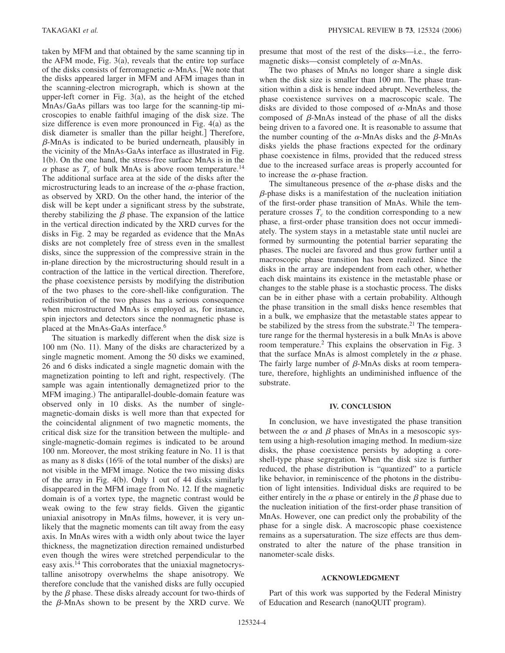taken by MFM and that obtained by the same scanning tip in the AFM mode, Fig.  $3(a)$ , reveals that the entire top surface of the disks consists of ferromagnetic  $\alpha$ -MnAs. We note that the disks appeared larger in MFM and AFM images than in the scanning-electron micrograph, which is shown at the upper-left corner in Fig.  $3(a)$ , as the height of the etched MnAs/GaAs pillars was too large for the scanning-tip microscopies to enable faithful imaging of the disk size. The size difference is even more pronounced in Fig.  $4(a)$  as the disk diameter is smaller than the pillar height.] Therefore,  $\beta$ -MnAs is indicated to be buried underneath, plausibly in the vicinity of the MnAs-GaAs interface as illustrated in Fig. 1(b). On the one hand, the stress-free surface MnAs is in the  $\alpha$  phase as  $T_c$  of bulk MnAs is above room temperature.<sup>14</sup> The additional surface area at the side of the disks after the microstructuring leads to an increase of the  $\alpha$ -phase fraction, as observed by XRD. On the other hand, the interior of the disk will be kept under a significant stress by the substrate, thereby stabilizing the  $\beta$  phase. The expansion of the lattice in the vertical direction indicated by the XRD curves for the disks in Fig. 2 may be regarded as evidence that the MnAs disks are not completely free of stress even in the smallest disks, since the suppression of the compressive strain in the in-plane direction by the microstructuring should result in a contraction of the lattice in the vertical direction. Therefore, the phase coexistence persists by modifying the distribution of the two phases to the core-shell-like configuration. The redistribution of the two phases has a serious consequence when microstructured MnAs is employed as, for instance, spin injectors and detectors since the nonmagnetic phase is placed at the MnAs-GaAs interface.<sup>6</sup>

The situation is markedly different when the disk size is 100 nm (No. 11). Many of the disks are characterized by a single magnetic moment. Among the 50 disks we examined, 26 and 6 disks indicated a single magnetic domain with the magnetization pointing to left and right, respectively. The sample was again intentionally demagnetized prior to the MFM imaging.) The antiparallel-double-domain feature was observed only in 10 disks. As the number of singlemagnetic-domain disks is well more than that expected for the coincidental alignment of two magnetic moments, the critical disk size for the transition between the multiple- and single-magnetic-domain regimes is indicated to be around 100 nm. Moreover, the most striking feature in No. 11 is that as many as 8 disks (16% of the total number of the disks) are not visible in the MFM image. Notice the two missing disks of the array in Fig. 4(b). Only 1 out of 44 disks similarly disappeared in the MFM image from No. 12. If the magnetic domain is of a vortex type, the magnetic contrast would be weak owing to the few stray fields. Given the gigantic uniaxial anisotropy in MnAs films, however, it is very unlikely that the magnetic moments can tilt away from the easy axis. In MnAs wires with a width only about twice the layer thickness, the magnetization direction remained undisturbed even though the wires were stretched perpendicular to the easy axis.<sup>14</sup> This corroborates that the uniaxial magnetocrystalline anisotropy overwhelms the shape anisotropy. We therefore conclude that the vanished disks are fully occupied by the  $\beta$  phase. These disks already account for two-thirds of the  $\beta$ -MnAs shown to be present by the XRD curve. We

presume that most of the rest of the disks—i.e., the ferromagnetic disks—consist completely of  $\alpha$ -MnAs.

The two phases of MnAs no longer share a single disk when the disk size is smaller than 100 nm. The phase transition within a disk is hence indeed abrupt. Nevertheless, the phase coexistence survives on a macroscopic scale. The disks are divided to those composed of  $\alpha$ -MnAs and those composed of  $\beta$ -MnAs instead of the phase of all the disks being driven to a favored one. It is reasonable to assume that the number counting of the  $\alpha$ -MnAs disks and the  $\beta$ -MnAs disks yields the phase fractions expected for the ordinary phase coexistence in films, provided that the reduced stress due to the increased surface areas is properly accounted for to increase the  $\alpha$ -phase fraction.

The simultaneous presence of the  $\alpha$ -phase disks and the  $\beta$ -phase disks is a manifestation of the nucleation initiation of the first-order phase transition of MnAs. While the temperature crosses  $T_c$  to the condition corresponding to a new phase, a first-order phase transition does not occur immediately. The system stays in a metastable state until nuclei are formed by surmounting the potential barrier separating the phases. The nuclei are favored and thus grow further until a macroscopic phase transition has been realized. Since the disks in the array are independent from each other, whether each disk maintains its existence in the metastable phase or changes to the stable phase is a stochastic process. The disks can be in either phase with a certain probability. Although the phase transition in the small disks hence resembles that in a bulk, we emphasize that the metastable states appear to be stabilized by the stress from the substrate. $^{21}$  The temperature range for the thermal hysteresis in a bulk MnAs is above room temperature.2 This explains the observation in Fig. 3 that the surface MnAs is almost completely in the  $\alpha$  phase. The fairly large number of  $\beta$ -MnAs disks at room temperature, therefore, highlights an undiminished influence of the substrate.

#### **IV. CONCLUSION**

In conclusion, we have investigated the phase transition between the  $\alpha$  and  $\beta$  phases of MnAs in a mesoscopic system using a high-resolution imaging method. In medium-size disks, the phase coexistence persists by adopting a coreshell-type phase segregation. When the disk size is further reduced, the phase distribution is "quantized" to a particle like behavior, in reminiscence of the photons in the distribution of light intensities. Individual disks are required to be either entirely in the  $\alpha$  phase or entirely in the  $\beta$  phase due to the nucleation initiation of the first-order phase transition of MnAs. However, one can predict only the probability of the phase for a single disk. A macroscopic phase coexistence remains as a supersaturation. The size effects are thus demonstrated to alter the nature of the phase transition in nanometer-scale disks.

#### **ACKNOWLEDGMENT**

Part of this work was supported by the Federal Ministry of Education and Research (nanoQUIT program).